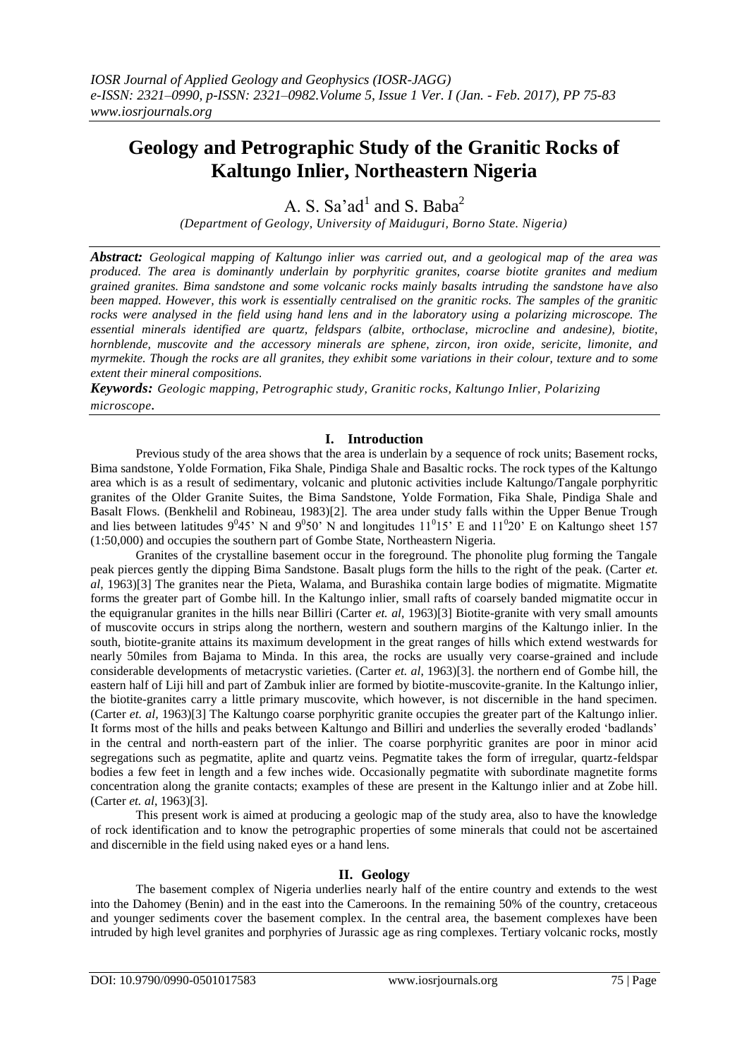# **Geology and Petrographic Study of the Granitic Rocks of Kaltungo Inlier, Northeastern Nigeria**

A. S. Sa'ad<sup>1</sup> and S. Baba<sup>2</sup>

*(Department of Geology, University of Maiduguri, Borno State. Nigeria)*

*Abstract: Geological mapping of Kaltungo inlier was carried out, and a geological map of the area was produced. The area is dominantly underlain by porphyritic granites, coarse biotite granites and medium grained granites. Bima sandstone and some volcanic rocks mainly basalts intruding the sandstone have also been mapped. However, this work is essentially centralised on the granitic rocks. The samples of the granitic rocks were analysed in the field using hand lens and in the laboratory using a polarizing microscope. The essential minerals identified are quartz, feldspars (albite, orthoclase, microcline and andesine), biotite, hornblende, muscovite and the accessory minerals are sphene, zircon, iron oxide, sericite, limonite, and myrmekite. Though the rocks are all granites, they exhibit some variations in their colour, texture and to some extent their mineral compositions.*

*Keywords: Geologic mapping, Petrographic study, Granitic rocks, Kaltungo Inlier, Polarizing microscope.*

# **I. Introduction**

Previous study of the area shows that the area is underlain by a sequence of rock units; Basement rocks, Bima sandstone, Yolde Formation, Fika Shale, Pindiga Shale and Basaltic rocks. The rock types of the Kaltungo area which is as a result of sedimentary, volcanic and plutonic activities include Kaltungo/Tangale porphyritic granites of the Older Granite Suites, the Bima Sandstone, Yolde Formation, Fika Shale, Pindiga Shale and Basalt Flows. (Benkhelil and Robineau, 1983)[2]. The area under study falls within the Upper Benue Trough and lies between latitudes  $9^045'$  N and  $9^050'$  N and longitudes  $11^015'$  E and  $11^020'$  E on Kaltungo sheet 157 (1:50,000) and occupies the southern part of Gombe State, Northeastern Nigeria.

Granites of the crystalline basement occur in the foreground. The phonolite plug forming the Tangale peak pierces gently the dipping Bima Sandstone. Basalt plugs form the hills to the right of the peak. (Carter *et. al*, 1963)[3] The granites near the Pieta, Walama, and Burashika contain large bodies of migmatite. Migmatite forms the greater part of Gombe hill. In the Kaltungo inlier, small rafts of coarsely banded migmatite occur in the equigranular granites in the hills near Billiri (Carter *et. al,* 1963)[3] Biotite-granite with very small amounts of muscovite occurs in strips along the northern, western and southern margins of the Kaltungo inlier. In the south, biotite-granite attains its maximum development in the great ranges of hills which extend westwards for nearly 50miles from Bajama to Minda. In this area, the rocks are usually very coarse-grained and include considerable developments of metacrystic varieties. (Carter *et. al*, 1963)[3]. the northern end of Gombe hill, the eastern half of Liji hill and part of Zambuk inlier are formed by biotite-muscovite-granite. In the Kaltungo inlier, the biotite-granites carry a little primary muscovite, which however, is not discernible in the hand specimen. (Carter *et. al,* 1963)[3] The Kaltungo coarse porphyritic granite occupies the greater part of the Kaltungo inlier. It forms most of the hills and peaks between Kaltungo and Billiri and underlies the severally eroded 'badlands' in the central and north-eastern part of the inlier. The coarse porphyritic granites are poor in minor acid segregations such as pegmatite, aplite and quartz veins. Pegmatite takes the form of irregular, quartz-feldspar bodies a few feet in length and a few inches wide. Occasionally pegmatite with subordinate magnetite forms concentration along the granite contacts; examples of these are present in the Kaltungo inlier and at Zobe hill. (Carter *et. al*, 1963)[3].

This present work is aimed at producing a geologic map of the study area, also to have the knowledge of rock identification and to know the petrographic properties of some minerals that could not be ascertained and discernible in the field using naked eyes or a hand lens.

# **II. Geology**

The basement complex of Nigeria underlies nearly half of the entire country and extends to the west into the Dahomey (Benin) and in the east into the Cameroons. In the remaining 50% of the country, cretaceous and younger sediments cover the basement complex. In the central area, the basement complexes have been intruded by high level granites and porphyries of Jurassic age as ring complexes. Tertiary volcanic rocks, mostly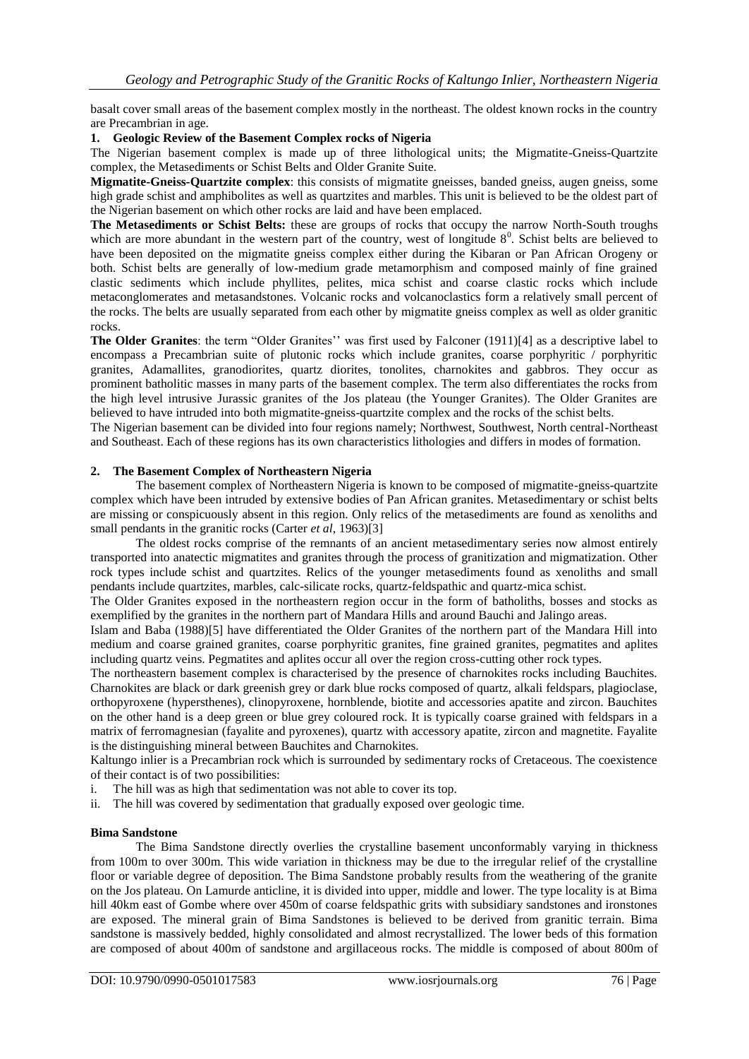basalt cover small areas of the basement complex mostly in the northeast. The oldest known rocks in the country are Precambrian in age.

## **1. Geologic Review of the Basement Complex rocks of Nigeria**

The Nigerian basement complex is made up of three lithological units; the Migmatite-Gneiss-Quartzite complex, the Metasediments or Schist Belts and Older Granite Suite.

**Migmatite-Gneiss-Quartzite complex**: this consists of migmatite gneisses, banded gneiss, augen gneiss, some high grade schist and amphibolites as well as quartzites and marbles. This unit is believed to be the oldest part of the Nigerian basement on which other rocks are laid and have been emplaced.

**The Metasediments or Schist Belts:** these are groups of rocks that occupy the narrow North-South troughs which are more abundant in the western part of the country, west of longitude  $8<sup>0</sup>$ . Schist belts are believed to have been deposited on the migmatite gneiss complex either during the Kibaran or Pan African Orogeny or both. Schist belts are generally of low-medium grade metamorphism and composed mainly of fine grained clastic sediments which include phyllites, pelites, mica schist and coarse clastic rocks which include metaconglomerates and metasandstones. Volcanic rocks and volcanoclastics form a relatively small percent of the rocks. The belts are usually separated from each other by migmatite gneiss complex as well as older granitic rocks.

**The Older Granites**: the term "Older Granites'' was first used by Falconer (1911)[4] as a descriptive label to encompass a Precambrian suite of plutonic rocks which include granites, coarse porphyritic / porphyritic granites, Adamallites, granodiorites, quartz diorites, tonolites, charnokites and gabbros. They occur as prominent batholitic masses in many parts of the basement complex. The term also differentiates the rocks from the high level intrusive Jurassic granites of the Jos plateau (the Younger Granites). The Older Granites are believed to have intruded into both migmatite-gneiss-quartzite complex and the rocks of the schist belts.

The Nigerian basement can be divided into four regions namely; Northwest, Southwest, North central-Northeast and Southeast. Each of these regions has its own characteristics lithologies and differs in modes of formation.

## **2. The Basement Complex of Northeastern Nigeria**

The basement complex of Northeastern Nigeria is known to be composed of migmatite-gneiss-quartzite complex which have been intruded by extensive bodies of Pan African granites. Metasedimentary or schist belts are missing or conspicuously absent in this region. Only relics of the metasediments are found as xenoliths and small pendants in the granitic rocks (Carter *et al*, 1963)[3]

The oldest rocks comprise of the remnants of an ancient metasedimentary series now almost entirely transported into anatectic migmatites and granites through the process of granitization and migmatization. Other rock types include schist and quartzites. Relics of the younger metasediments found as xenoliths and small pendants include quartzites, marbles, calc-silicate rocks, quartz-feldspathic and quartz-mica schist.

The Older Granites exposed in the northeastern region occur in the form of batholiths, bosses and stocks as exemplified by the granites in the northern part of Mandara Hills and around Bauchi and Jalingo areas.

Islam and Baba (1988)[5] have differentiated the Older Granites of the northern part of the Mandara Hill into medium and coarse grained granites, coarse porphyritic granites, fine grained granites, pegmatites and aplites including quartz veins. Pegmatites and aplites occur all over the region cross-cutting other rock types.

The northeastern basement complex is characterised by the presence of charnokites rocks including Bauchites. Charnokites are black or dark greenish grey or dark blue rocks composed of quartz, alkali feldspars, plagioclase, orthopyroxene (hypersthenes), clinopyroxene, hornblende, biotite and accessories apatite and zircon. Bauchites on the other hand is a deep green or blue grey coloured rock. It is typically coarse grained with feldspars in a matrix of ferromagnesian (fayalite and pyroxenes), quartz with accessory apatite, zircon and magnetite. Fayalite is the distinguishing mineral between Bauchites and Charnokites.

Kaltungo inlier is a Precambrian rock which is surrounded by sedimentary rocks of Cretaceous. The coexistence of their contact is of two possibilities:

- i. The hill was as high that sedimentation was not able to cover its top.
- ii. The hill was covered by sedimentation that gradually exposed over geologic time.

#### **Bima Sandstone**

The Bima Sandstone directly overlies the crystalline basement unconformably varying in thickness from 100m to over 300m. This wide variation in thickness may be due to the irregular relief of the crystalline floor or variable degree of deposition. The Bima Sandstone probably results from the weathering of the granite on the Jos plateau. On Lamurde anticline, it is divided into upper, middle and lower. The type locality is at Bima hill 40km east of Gombe where over 450m of coarse feldspathic grits with subsidiary sandstones and ironstones are exposed. The mineral grain of Bima Sandstones is believed to be derived from granitic terrain. Bima sandstone is massively bedded, highly consolidated and almost recrystallized. The lower beds of this formation are composed of about 400m of sandstone and argillaceous rocks. The middle is composed of about 800m of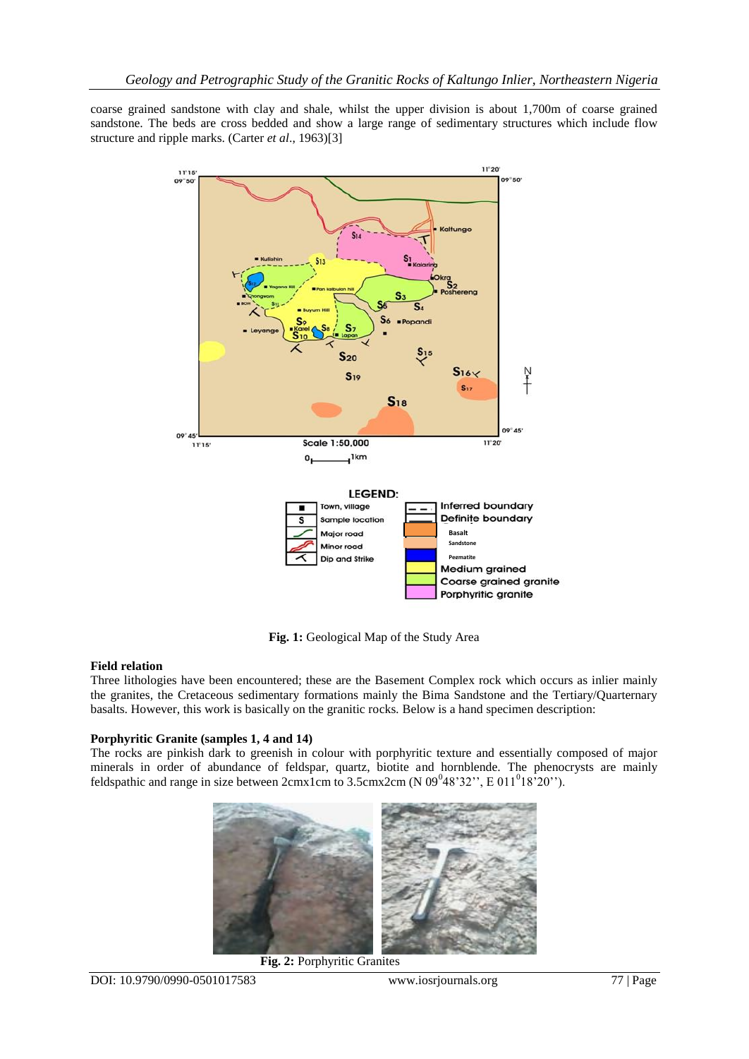coarse grained sandstone with clay and shale, whilst the upper division is about 1,700m of coarse grained sandstone. The beds are cross bedded and show a large range of sedimentary structures which include flow structure and ripple marks. (Carter *et al*., 1963)[3]



**Fig. 1:** Geological Map of the Study Area

## **Field relation**

Three lithologies have been encountered; these are the Basement Complex rock which occurs as inlier mainly the granites, the Cretaceous sedimentary formations mainly the Bima Sandstone and the Tertiary/Quarternary basalts. However, this work is basically on the granitic rocks*.* Below is a hand specimen description:

# **Porphyritic Granite (samples 1, 4 and 14)**

The rocks are pinkish dark to greenish in colour with porphyritic texture and essentially composed of major minerals in order of abundance of feldspar, quartz, biotite and hornblende. The phenocrysts are mainly feldspathic and range in size between  $2cmx1cm$  to  $3.5cmx2cm$  (N 09<sup>0</sup>48'32'', E 011<sup>0</sup>18<sup>5</sup>20'').



**Fig. 2:** Porphyritic Granites

DOI: 10.9790/0990-0501017583 www.iosrjournals.org 77 | Page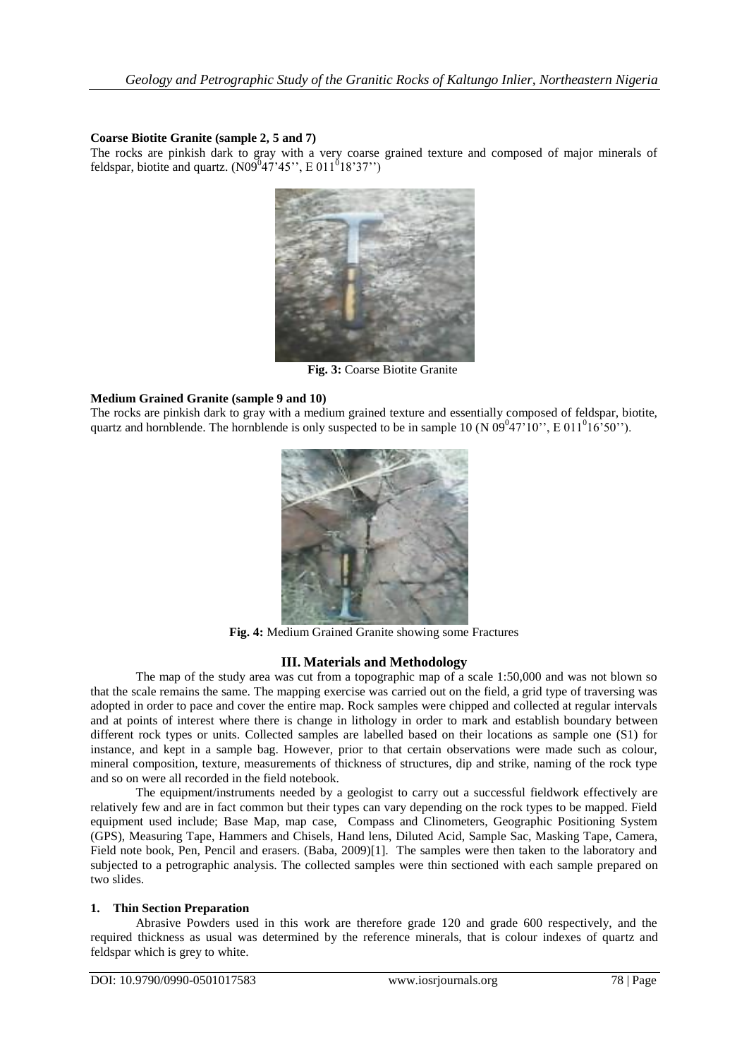## **Coarse Biotite Granite (sample 2, 5 and 7)**

The rocks are pinkish dark to gray with a very coarse grained texture and composed of major minerals of feldspar, biotite and quartz.  $(N09^{0}47'45"$ , E 011<sup>0</sup>18'37")



**Fig. 3:** Coarse Biotite Granite

## **Medium Grained Granite (sample 9 and 10)**

The rocks are pinkish dark to gray with a medium grained texture and essentially composed of feldspar, biotite, quartz and hornblende. The hornblende is only suspected to be in sample 10 (N  $09^047'10''$ , E  $011^016'50''$ ).



**Fig. 4:** Medium Grained Granite showing some Fractures

## **III. Materials and Methodology**

The map of the study area was cut from a topographic map of a scale 1:50,000 and was not blown so that the scale remains the same. The mapping exercise was carried out on the field, a grid type of traversing was adopted in order to pace and cover the entire map. Rock samples were chipped and collected at regular intervals and at points of interest where there is change in lithology in order to mark and establish boundary between different rock types or units. Collected samples are labelled based on their locations as sample one (S1) for instance, and kept in a sample bag. However, prior to that certain observations were made such as colour, mineral composition, texture, measurements of thickness of structures, dip and strike, naming of the rock type and so on were all recorded in the field notebook.

The equipment/instruments needed by a geologist to carry out a successful fieldwork effectively are relatively few and are in fact common but their types can vary depending on the rock types to be mapped. Field equipment used include; Base Map, map case, Compass and Clinometers, Geographic Positioning System (GPS), Measuring Tape, Hammers and Chisels, Hand lens, Diluted Acid, Sample Sac, Masking Tape, Camera, Field note book, Pen, Pencil and erasers. (Baba, 2009)[1]. The samples were then taken to the laboratory and subjected to a petrographic analysis. The collected samples were thin sectioned with each sample prepared on two slides.

## **1. Thin Section Preparation**

Abrasive Powders used in this work are therefore grade 120 and grade 600 respectively, and the required thickness as usual was determined by the reference minerals, that is colour indexes of quartz and feldspar which is grey to white.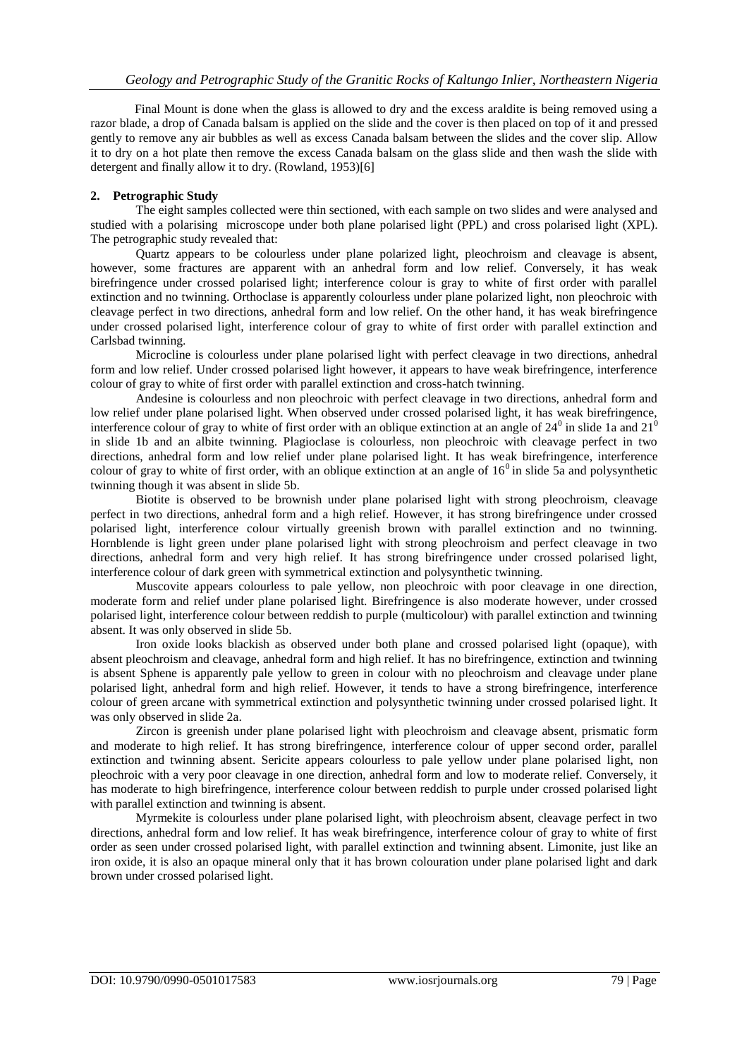Final Mount is done when the glass is allowed to dry and the excess araldite is being removed using a razor blade, a drop of Canada balsam is applied on the slide and the cover is then placed on top of it and pressed gently to remove any air bubbles as well as excess Canada balsam between the slides and the cover slip. Allow it to dry on a hot plate then remove the excess Canada balsam on the glass slide and then wash the slide with detergent and finally allow it to dry. (Rowland, 1953)[6]

# **2. Petrographic Study**

The eight samples collected were thin sectioned, with each sample on two slides and were analysed and studied with a polarising microscope under both plane polarised light (PPL) and cross polarised light (XPL). The petrographic study revealed that:

Quartz appears to be colourless under plane polarized light, pleochroism and cleavage is absent, however, some fractures are apparent with an anhedral form and low relief. Conversely, it has weak birefringence under crossed polarised light; interference colour is gray to white of first order with parallel extinction and no twinning. Orthoclase is apparently colourless under plane polarized light, non pleochroic with cleavage perfect in two directions, anhedral form and low relief. On the other hand, it has weak birefringence under crossed polarised light, interference colour of gray to white of first order with parallel extinction and Carlsbad twinning.

Microcline is colourless under plane polarised light with perfect cleavage in two directions, anhedral form and low relief. Under crossed polarised light however, it appears to have weak birefringence, interference colour of gray to white of first order with parallel extinction and cross-hatch twinning.

Andesine is colourless and non pleochroic with perfect cleavage in two directions, anhedral form and low relief under plane polarised light. When observed under crossed polarised light, it has weak birefringence, interference colour of gray to white of first order with an oblique extinction at an angle of  $24^0$  in slide 1a and  $21^0$ in slide 1b and an albite twinning. Plagioclase is colourless, non pleochroic with cleavage perfect in two directions, anhedral form and low relief under plane polarised light. It has weak birefringence, interference colour of gray to white of first order, with an oblique extinction at an angle of  $16<sup>0</sup>$  in slide 5a and polysynthetic twinning though it was absent in slide 5b.

Biotite is observed to be brownish under plane polarised light with strong pleochroism, cleavage perfect in two directions, anhedral form and a high relief. However, it has strong birefringence under crossed polarised light, interference colour virtually greenish brown with parallel extinction and no twinning. Hornblende is light green under plane polarised light with strong pleochroism and perfect cleavage in two directions, anhedral form and very high relief. It has strong birefringence under crossed polarised light, interference colour of dark green with symmetrical extinction and polysynthetic twinning.

Muscovite appears colourless to pale yellow, non pleochroic with poor cleavage in one direction, moderate form and relief under plane polarised light. Birefringence is also moderate however, under crossed polarised light, interference colour between reddish to purple (multicolour) with parallel extinction and twinning absent. It was only observed in slide 5b.

Iron oxide looks blackish as observed under both plane and crossed polarised light (opaque), with absent pleochroism and cleavage, anhedral form and high relief. It has no birefringence, extinction and twinning is absent Sphene is apparently pale yellow to green in colour with no pleochroism and cleavage under plane polarised light, anhedral form and high relief. However, it tends to have a strong birefringence, interference colour of green arcane with symmetrical extinction and polysynthetic twinning under crossed polarised light. It was only observed in slide 2a.

Zircon is greenish under plane polarised light with pleochroism and cleavage absent, prismatic form and moderate to high relief. It has strong birefringence, interference colour of upper second order, parallel extinction and twinning absent. Sericite appears colourless to pale yellow under plane polarised light, non pleochroic with a very poor cleavage in one direction, anhedral form and low to moderate relief. Conversely, it has moderate to high birefringence, interference colour between reddish to purple under crossed polarised light with parallel extinction and twinning is absent.

Myrmekite is colourless under plane polarised light, with pleochroism absent, cleavage perfect in two directions, anhedral form and low relief. It has weak birefringence, interference colour of gray to white of first order as seen under crossed polarised light, with parallel extinction and twinning absent. Limonite, just like an iron oxide, it is also an opaque mineral only that it has brown colouration under plane polarised light and dark brown under crossed polarised light.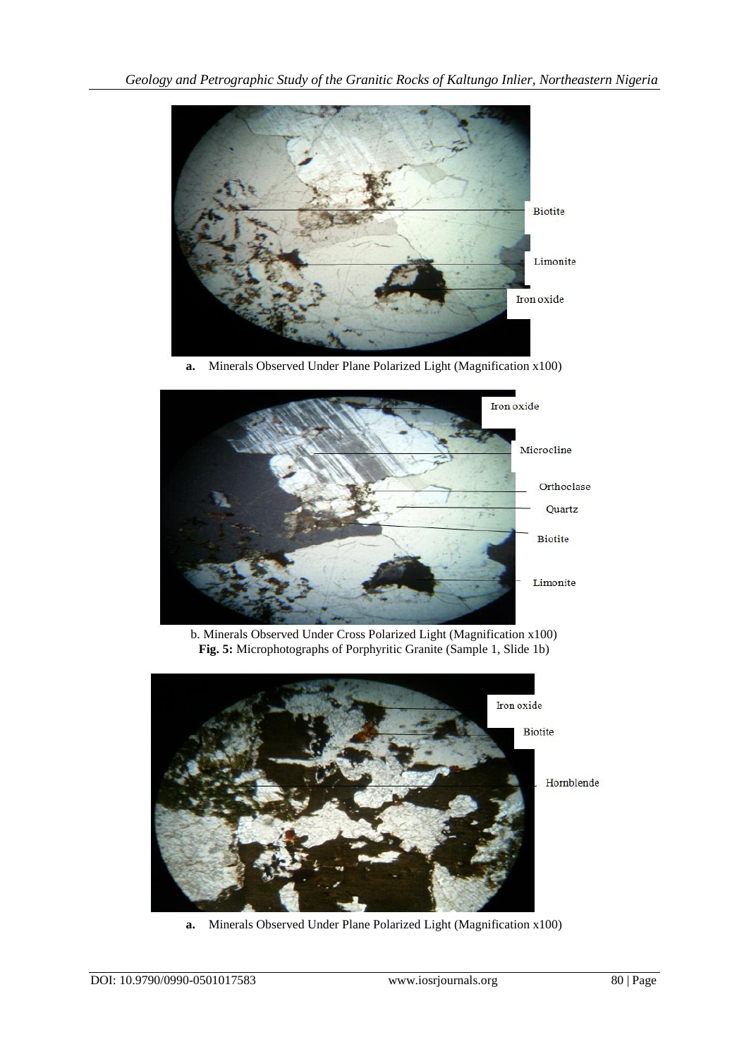

**a.** Minerals Observed Under Plane Polarized Light (Magnification x100)



b. Minerals Observed Under Cross Polarized Light (Magnification x100) **Fig. 5:** Microphotographs of Porphyritic Granite (Sample 1, Slide 1b)



**a.** Minerals Observed Under Plane Polarized Light (Magnification x100)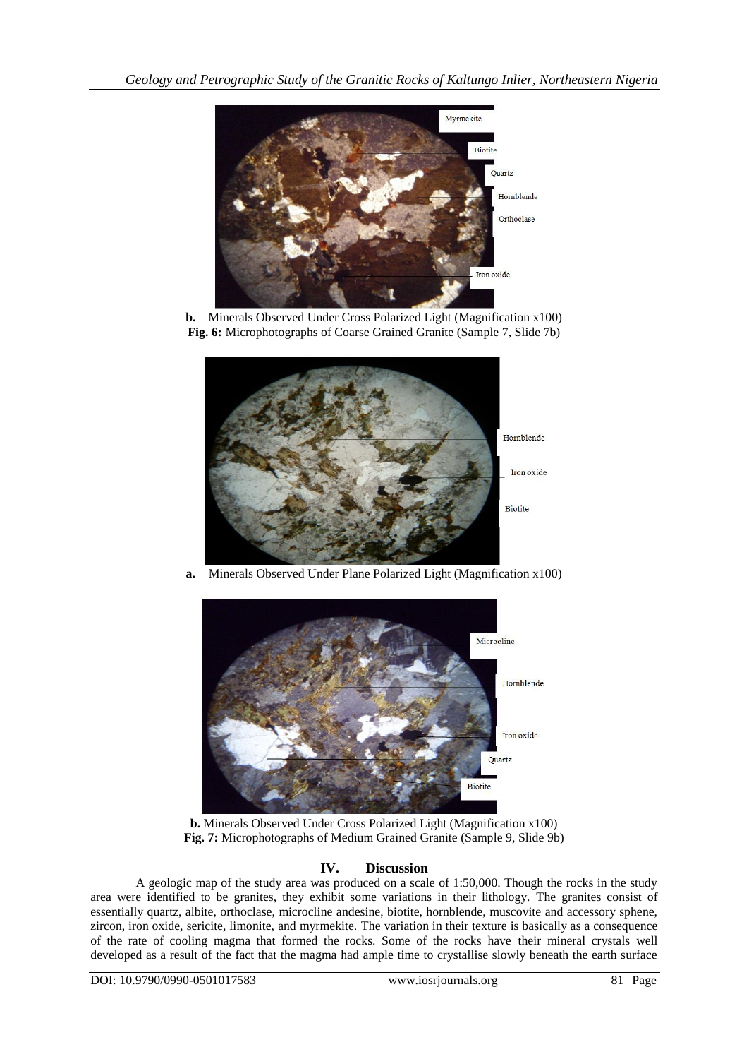

**b.** Minerals Observed Under Cross Polarized Light (Magnification x100) **Fig. 6:** Microphotographs of Coarse Grained Granite (Sample 7, Slide 7b)



**a.** Minerals Observed Under Plane Polarized Light (Magnification x100)



**b.** Minerals Observed Under Cross Polarized Light (Magnification x100) **Fig. 7:** Microphotographs of Medium Grained Granite (Sample 9, Slide 9b)

# **IV. Discussion**

A geologic map of the study area was produced on a scale of 1:50,000. Though the rocks in the study area were identified to be granites, they exhibit some variations in their lithology. The granites consist of essentially quartz, albite, orthoclase, microcline andesine, biotite, hornblende, muscovite and accessory sphene, zircon, iron oxide, sericite, limonite, and myrmekite. The variation in their texture is basically as a consequence of the rate of cooling magma that formed the rocks. Some of the rocks have their mineral crystals well developed as a result of the fact that the magma had ample time to crystallise slowly beneath the earth surface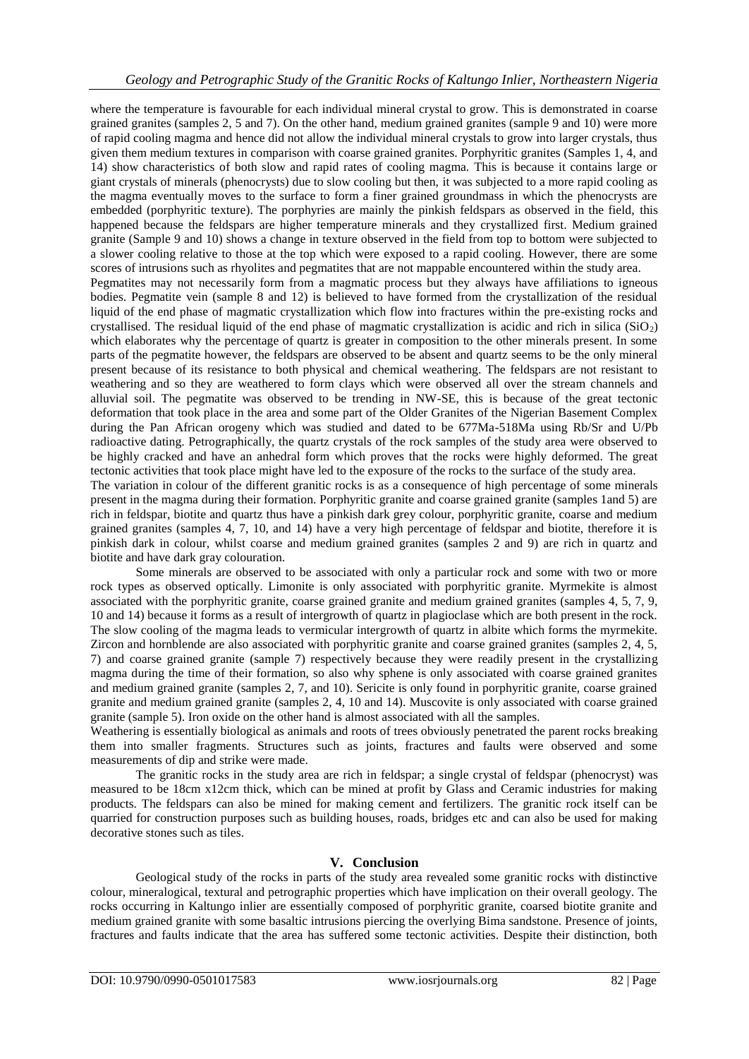where the temperature is favourable for each individual mineral crystal to grow. This is demonstrated in coarse grained granites (samples 2, 5 and 7). On the other hand, medium grained granites (sample 9 and 10) were more of rapid cooling magma and hence did not allow the individual mineral crystals to grow into larger crystals, thus given them medium textures in comparison with coarse grained granites. Porphyritic granites (Samples 1, 4, and 14) show characteristics of both slow and rapid rates of cooling magma. This is because it contains large or giant crystals of minerals (phenocrysts) due to slow cooling but then, it was subjected to a more rapid cooling as the magma eventually moves to the surface to form a finer grained groundmass in which the phenocrysts are embedded (porphyritic texture). The porphyries are mainly the pinkish feldspars as observed in the field, this happened because the feldspars are higher temperature minerals and they crystallized first. Medium grained granite (Sample 9 and 10) shows a change in texture observed in the field from top to bottom were subjected to a slower cooling relative to those at the top which were exposed to a rapid cooling. However, there are some scores of intrusions such as rhyolites and pegmatites that are not mappable encountered within the study area.

Pegmatites may not necessarily form from a magmatic process but they always have affiliations to igneous bodies. Pegmatite vein (sample 8 and 12) is believed to have formed from the crystallization of the residual liquid of the end phase of magmatic crystallization which flow into fractures within the pre-existing rocks and crystallised. The residual liquid of the end phase of magmatic crystallization is acidic and rich in silica ( $SiO<sub>2</sub>$ ) which elaborates why the percentage of quartz is greater in composition to the other minerals present. In some parts of the pegmatite however, the feldspars are observed to be absent and quartz seems to be the only mineral present because of its resistance to both physical and chemical weathering. The feldspars are not resistant to weathering and so they are weathered to form clays which were observed all over the stream channels and alluvial soil. The pegmatite was observed to be trending in NW-SE, this is because of the great tectonic deformation that took place in the area and some part of the Older Granites of the Nigerian Basement Complex during the Pan African orogeny which was studied and dated to be 677Ma-518Ma using Rb/Sr and U/Pb radioactive dating. Petrographically, the quartz crystals of the rock samples of the study area were observed to be highly cracked and have an anhedral form which proves that the rocks were highly deformed. The great tectonic activities that took place might have led to the exposure of the rocks to the surface of the study area.

The variation in colour of the different granitic rocks is as a consequence of high percentage of some minerals present in the magma during their formation. Porphyritic granite and coarse grained granite (samples 1and 5) are rich in feldspar, biotite and quartz thus have a pinkish dark grey colour, porphyritic granite, coarse and medium grained granites (samples 4, 7, 10, and 14) have a very high percentage of feldspar and biotite, therefore it is pinkish dark in colour, whilst coarse and medium grained granites (samples 2 and 9) are rich in quartz and biotite and have dark gray colouration.

Some minerals are observed to be associated with only a particular rock and some with two or more rock types as observed optically. Limonite is only associated with porphyritic granite. Myrmekite is almost associated with the porphyritic granite, coarse grained granite and medium grained granites (samples 4, 5, 7, 9, 10 and 14) because it forms as a result of intergrowth of quartz in plagioclase which are both present in the rock. The slow cooling of the magma leads to vermicular intergrowth of quartz in albite which forms the myrmekite. Zircon and hornblende are also associated with porphyritic granite and coarse grained granites (samples 2, 4, 5, 7) and coarse grained granite (sample 7) respectively because they were readily present in the crystallizing magma during the time of their formation, so also why sphene is only associated with coarse grained granites and medium grained granite (samples 2, 7, and 10). Sericite is only found in porphyritic granite, coarse grained granite and medium grained granite (samples 2, 4, 10 and 14). Muscovite is only associated with coarse grained granite (sample 5). Iron oxide on the other hand is almost associated with all the samples.

Weathering is essentially biological as animals and roots of trees obviously penetrated the parent rocks breaking them into smaller fragments. Structures such as joints, fractures and faults were observed and some measurements of dip and strike were made.

The granitic rocks in the study area are rich in feldspar; a single crystal of feldspar (phenocryst) was measured to be 18cm x12cm thick, which can be mined at profit by Glass and Ceramic industries for making products. The feldspars can also be mined for making cement and fertilizers. The granitic rock itself can be quarried for construction purposes such as building houses, roads, bridges etc and can also be used for making decorative stones such as tiles.

# **V. Conclusion**

Geological study of the rocks in parts of the study area revealed some granitic rocks with distinctive colour, mineralogical, textural and petrographic properties which have implication on their overall geology. The rocks occurring in Kaltungo inlier are essentially composed of porphyritic granite, coarsed biotite granite and medium grained granite with some basaltic intrusions piercing the overlying Bima sandstone. Presence of joints, fractures and faults indicate that the area has suffered some tectonic activities. Despite their distinction, both